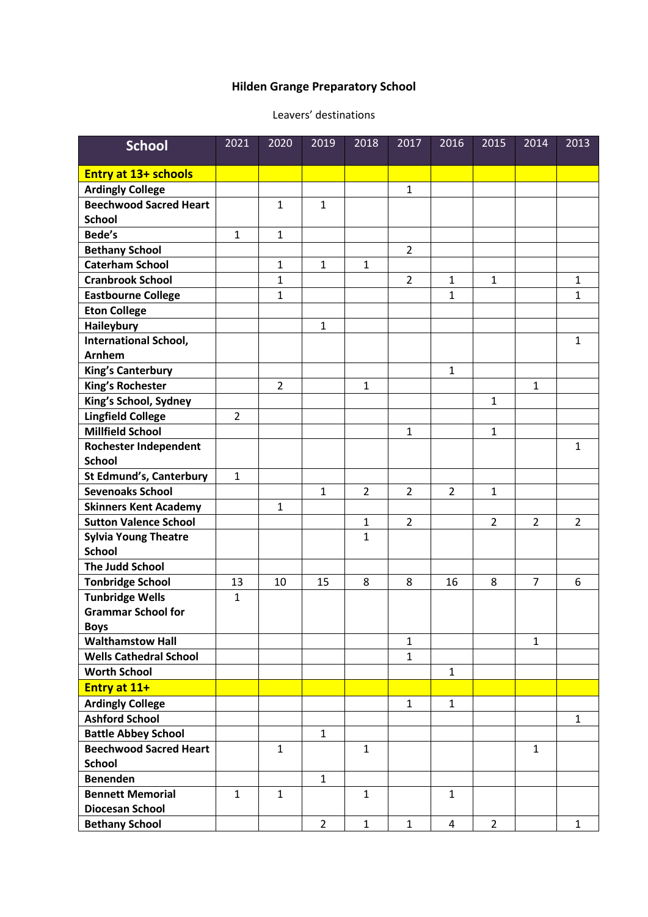## **Hilden Grange Preparatory School**

## Leavers' destinations

| <b>School</b>                  | 2021           | 2020           | 2019           | 2018           | 2017           | 2016           | 2015           | 2014           | 2013           |
|--------------------------------|----------------|----------------|----------------|----------------|----------------|----------------|----------------|----------------|----------------|
| <b>Entry at 13+ schools</b>    |                |                |                |                |                |                |                |                |                |
| <b>Ardingly College</b>        |                |                |                |                | $\mathbf{1}$   |                |                |                |                |
| <b>Beechwood Sacred Heart</b>  |                | $\mathbf{1}$   | $\mathbf{1}$   |                |                |                |                |                |                |
| <b>School</b>                  |                |                |                |                |                |                |                |                |                |
| Bede's                         | $\mathbf{1}$   | $\mathbf{1}$   |                |                |                |                |                |                |                |
| <b>Bethany School</b>          |                |                |                |                | $\overline{2}$ |                |                |                |                |
| <b>Caterham School</b>         |                | $\mathbf{1}$   | 1              | $\mathbf{1}$   |                |                |                |                |                |
| <b>Cranbrook School</b>        |                | $\mathbf{1}$   |                |                | $\overline{2}$ | $\mathbf 1$    | $\mathbf{1}$   |                | $\mathbf{1}$   |
| <b>Eastbourne College</b>      |                | $\mathbf{1}$   |                |                |                | 1              |                |                | $\mathbf{1}$   |
| <b>Eton College</b>            |                |                |                |                |                |                |                |                |                |
| <b>Haileybury</b>              |                |                | $\mathbf{1}$   |                |                |                |                |                |                |
| International School,          |                |                |                |                |                |                |                |                | $\mathbf{1}$   |
| <b>Arnhem</b>                  |                |                |                |                |                |                |                |                |                |
| <b>King's Canterbury</b>       |                |                |                |                |                | $\mathbf{1}$   |                |                |                |
| King's Rochester               |                | $\overline{2}$ |                | $\mathbf{1}$   |                |                |                | $\mathbf{1}$   |                |
| King's School, Sydney          |                |                |                |                |                |                | $\mathbf{1}$   |                |                |
| <b>Lingfield College</b>       | $\overline{2}$ |                |                |                |                |                |                |                |                |
| <b>Millfield School</b>        |                |                |                |                | 1              |                | $\mathbf{1}$   |                |                |
| Rochester Independent          |                |                |                |                |                |                |                |                | $\mathbf{1}$   |
| <b>School</b>                  |                |                |                |                |                |                |                |                |                |
| <b>St Edmund's, Canterbury</b> | $\mathbf 1$    |                |                |                |                |                |                |                |                |
| <b>Sevenoaks School</b>        |                |                | $\mathbf{1}$   | $\overline{2}$ | $\overline{2}$ | $\overline{2}$ | $\mathbf{1}$   |                |                |
| <b>Skinners Kent Academy</b>   |                | 1              |                |                |                |                |                |                |                |
| <b>Sutton Valence School</b>   |                |                |                | $\mathbf 1$    | $\overline{2}$ |                | $\overline{2}$ | $\overline{2}$ | $\overline{2}$ |
| <b>Sylvia Young Theatre</b>    |                |                |                | $\mathbf 1$    |                |                |                |                |                |
| <b>School</b>                  |                |                |                |                |                |                |                |                |                |
| <b>The Judd School</b>         |                |                |                |                |                |                |                |                |                |
| <b>Tonbridge School</b>        | 13             | 10             | 15             | 8              | 8              | 16             | 8              | $\overline{7}$ | 6              |
| <b>Tunbridge Wells</b>         | $\mathbf{1}$   |                |                |                |                |                |                |                |                |
| <b>Grammar School for</b>      |                |                |                |                |                |                |                |                |                |
| <b>Boys</b>                    |                |                |                |                |                |                |                |                |                |
| <b>Walthamstow Hall</b>        |                |                |                |                | $\mathbf{1}$   |                |                | $\mathbf{1}$   |                |
| <b>Wells Cathedral School</b>  |                |                |                |                | $\mathbf{1}$   |                |                |                |                |
| <b>Worth School</b>            |                |                |                |                |                | $\mathbf{1}$   |                |                |                |
| Entry at 11+                   |                |                |                |                |                |                |                |                |                |
| <b>Ardingly College</b>        |                |                |                |                | $\mathbf{1}$   | $\mathbf{1}$   |                |                |                |
| <b>Ashford School</b>          |                |                |                |                |                |                |                |                | $\mathbf{1}$   |
| <b>Battle Abbey School</b>     |                |                | $\mathbf{1}$   |                |                |                |                |                |                |
| <b>Beechwood Sacred Heart</b>  |                | $\mathbf{1}$   |                | $\mathbf{1}$   |                |                |                | $\mathbf{1}$   |                |
| <b>School</b>                  |                |                |                |                |                |                |                |                |                |
| <b>Benenden</b>                |                |                | $\mathbf{1}$   |                |                |                |                |                |                |
| <b>Bennett Memorial</b>        | $\mathbf{1}$   | $\mathbf{1}$   |                | $\mathbf{1}$   |                | $\mathbf{1}$   |                |                |                |
| <b>Diocesan School</b>         |                |                |                |                |                |                |                |                |                |
| <b>Bethany School</b>          |                |                | $\overline{2}$ | $\mathbf{1}$   | $\mathbf{1}$   | 4              | $\overline{2}$ |                | $\mathbf{1}$   |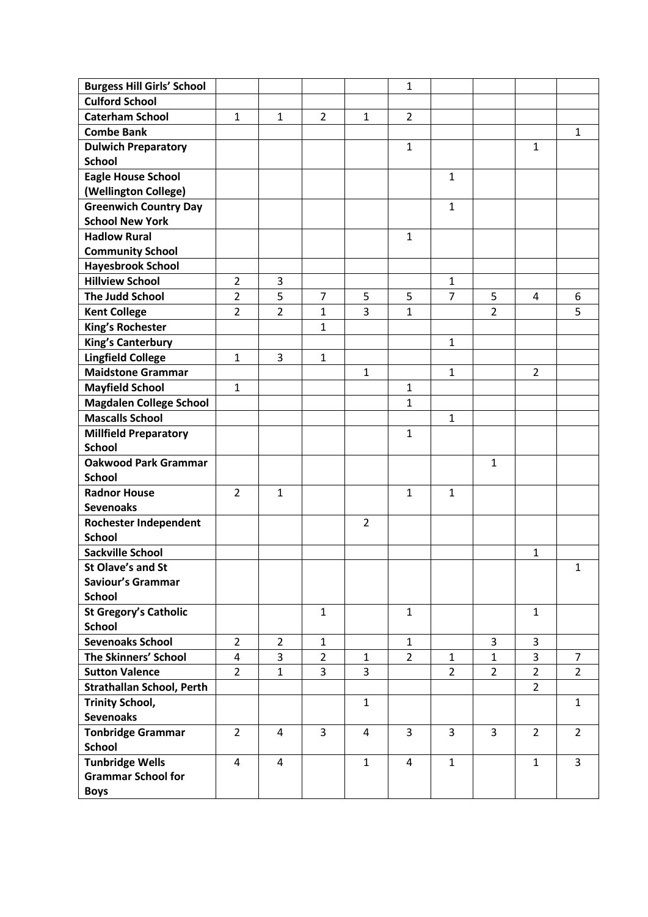| <b>Burgess Hill Girls' School</b>                   |                |                |                |                | $\mathbf 1$    |                |                |                |                |
|-----------------------------------------------------|----------------|----------------|----------------|----------------|----------------|----------------|----------------|----------------|----------------|
| <b>Culford School</b>                               |                |                |                |                |                |                |                |                |                |
| <b>Caterham School</b>                              | $\mathbf{1}$   | 1              | $\overline{2}$ | $\mathbf{1}$   | $\overline{2}$ |                |                |                |                |
| <b>Combe Bank</b>                                   |                |                |                |                |                |                |                |                | $\mathbf{1}$   |
| <b>Dulwich Preparatory</b>                          |                |                |                |                | $\mathbf{1}$   |                |                | $\mathbf{1}$   |                |
| <b>School</b>                                       |                |                |                |                |                |                |                |                |                |
| <b>Eagle House School</b>                           |                |                |                |                |                | 1              |                |                |                |
| (Wellington College)                                |                |                |                |                |                |                |                |                |                |
| <b>Greenwich Country Day</b>                        |                |                |                |                |                | 1              |                |                |                |
| <b>School New York</b>                              |                |                |                |                |                |                |                |                |                |
| <b>Hadlow Rural</b>                                 |                |                |                |                | $\mathbf{1}$   |                |                |                |                |
| <b>Community School</b>                             |                |                |                |                |                |                |                |                |                |
| <b>Hayesbrook School</b>                            |                |                |                |                |                |                |                |                |                |
| <b>Hillview School</b>                              | $\overline{2}$ | 3              |                |                |                | 1              |                |                |                |
| <b>The Judd School</b>                              | $\overline{2}$ | 5              | $\overline{7}$ | 5              | 5              | 7              | 5              | 4              | 6              |
| <b>Kent College</b>                                 | $\overline{2}$ | $\overline{2}$ | $\mathbf{1}$   | 3              | $\mathbf{1}$   |                | $\overline{2}$ |                | 5              |
| <b>King's Rochester</b>                             |                |                | $\mathbf{1}$   |                |                |                |                |                |                |
| <b>King's Canterbury</b>                            |                |                |                |                |                | 1              |                |                |                |
| <b>Lingfield College</b>                            | $\mathbf{1}$   | 3              | $\mathbf{1}$   |                |                |                |                |                |                |
| <b>Maidstone Grammar</b>                            |                |                |                | 1              |                | 1              |                | $\overline{2}$ |                |
| <b>Mayfield School</b>                              | $\mathbf{1}$   |                |                |                | 1              |                |                |                |                |
| <b>Magdalen College School</b>                      |                |                |                |                | $\mathbf{1}$   |                |                |                |                |
| <b>Mascalls School</b>                              |                |                |                |                |                | 1              |                |                |                |
| <b>Millfield Preparatory</b>                        |                |                |                |                | $\mathbf{1}$   |                |                |                |                |
| <b>School</b>                                       |                |                |                |                |                |                |                |                |                |
| <b>Oakwood Park Grammar</b>                         |                |                |                |                |                |                | 1              |                |                |
| <b>School</b>                                       |                |                |                |                |                |                |                |                |                |
| <b>Radnor House</b>                                 | 2              | $\mathbf{1}$   |                |                | $\mathbf{1}$   | $\mathbf 1$    |                |                |                |
| <b>Sevenoaks</b>                                    |                |                |                |                |                |                |                |                |                |
| Rochester Independent                               |                |                |                | $\overline{2}$ |                |                |                |                |                |
| <b>School</b>                                       |                |                |                |                |                |                |                |                |                |
| <b>Sackville School</b>                             |                |                |                |                |                |                |                | 1              |                |
| <b>St Olave's and St</b>                            |                |                |                |                |                |                |                |                | 1              |
| Saviour's Grammar                                   |                |                |                |                |                |                |                |                |                |
| <b>School</b>                                       |                |                |                |                |                |                |                |                |                |
| <b>St Gregory's Catholic</b>                        |                |                | $\mathbf{1}$   |                | $\mathbf{1}$   |                |                | $\mathbf{1}$   |                |
| <b>School</b>                                       |                |                |                |                |                |                |                |                |                |
| <b>Sevenoaks School</b>                             | $\overline{2}$ | $\overline{2}$ | $\mathbf{1}$   |                | $\mathbf{1}$   |                | 3              | 3              |                |
| The Skinners' School                                | 4              | 3              | $\overline{2}$ | $\mathbf{1}$   | $\overline{2}$ | $\mathbf{1}$   | $\mathbf{1}$   | 3              | 7              |
| <b>Sutton Valence</b>                               | $\overline{2}$ | $\mathbf{1}$   | $\overline{3}$ | $\overline{3}$ |                | $\overline{2}$ | $\overline{2}$ | $\overline{2}$ | $\overline{2}$ |
| <b>Strathallan School, Perth</b>                    |                |                |                |                |                |                |                | $\overline{2}$ |                |
| <b>Trinity School,</b>                              |                |                |                | $\mathbf{1}$   |                |                |                |                | $\mathbf{1}$   |
| <b>Sevenoaks</b>                                    |                |                |                |                |                |                |                |                |                |
| <b>Tonbridge Grammar</b>                            | $\overline{2}$ | 4              | 3              | 4              | 3              | 3              | 3              | $\overline{2}$ | $\overline{2}$ |
| <b>School</b>                                       |                |                |                | $\mathbf{1}$   |                |                |                |                |                |
| <b>Tunbridge Wells</b><br><b>Grammar School for</b> | 4              | 4              |                |                | 4              | $\mathbf{1}$   |                | $\mathbf{1}$   | 3              |
|                                                     |                |                |                |                |                |                |                |                |                |
| <b>Boys</b>                                         |                |                |                |                |                |                |                |                |                |